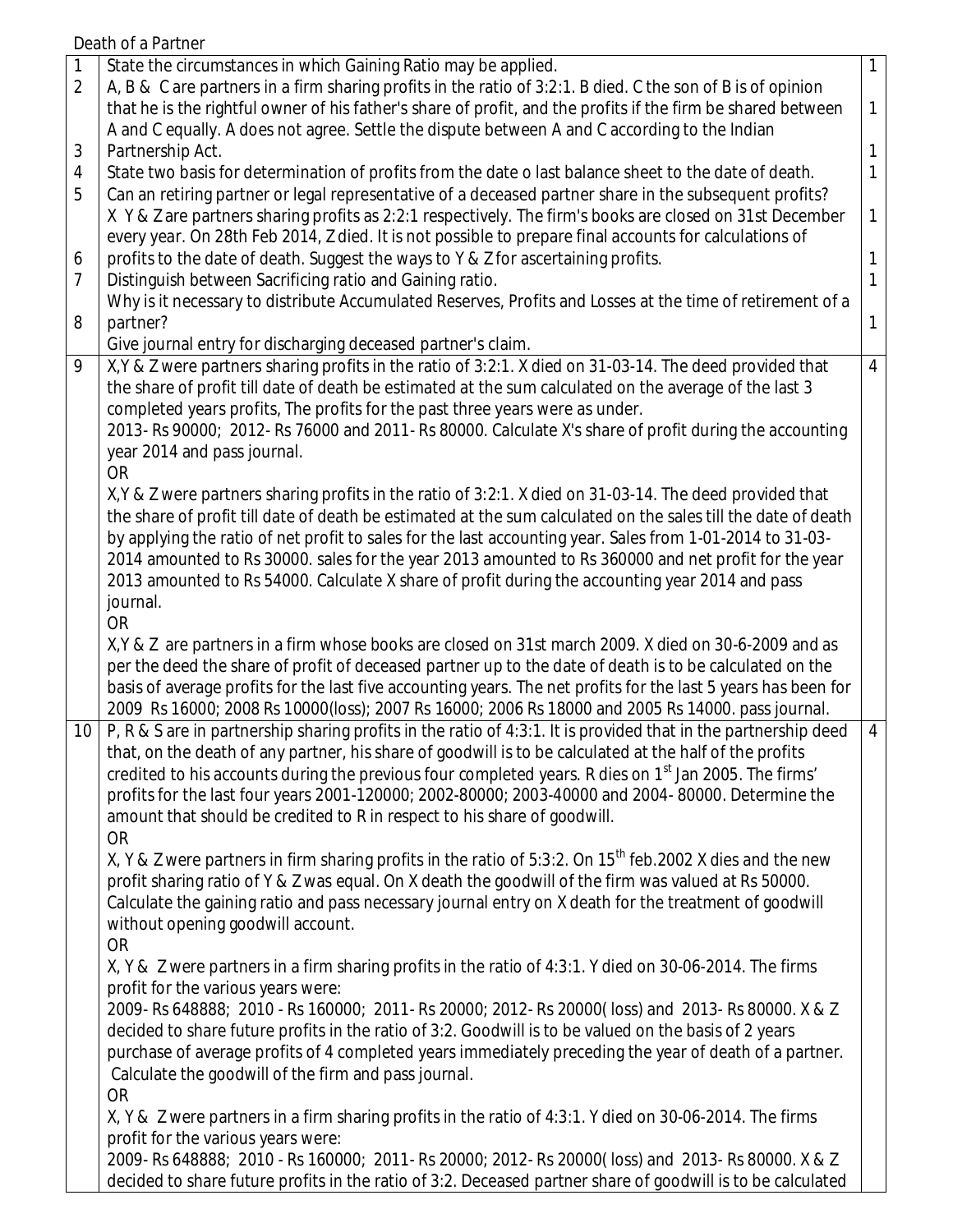Death of a Partner

| $\mathbf{1}$<br>$\mathbf{1}$<br>1<br>1<br>1<br>1<br>1<br>1                                                                                                                                                                      |
|---------------------------------------------------------------------------------------------------------------------------------------------------------------------------------------------------------------------------------|
|                                                                                                                                                                                                                                 |
|                                                                                                                                                                                                                                 |
|                                                                                                                                                                                                                                 |
|                                                                                                                                                                                                                                 |
|                                                                                                                                                                                                                                 |
|                                                                                                                                                                                                                                 |
|                                                                                                                                                                                                                                 |
|                                                                                                                                                                                                                                 |
|                                                                                                                                                                                                                                 |
|                                                                                                                                                                                                                                 |
|                                                                                                                                                                                                                                 |
|                                                                                                                                                                                                                                 |
|                                                                                                                                                                                                                                 |
| $\overline{4}$                                                                                                                                                                                                                  |
|                                                                                                                                                                                                                                 |
|                                                                                                                                                                                                                                 |
|                                                                                                                                                                                                                                 |
|                                                                                                                                                                                                                                 |
|                                                                                                                                                                                                                                 |
|                                                                                                                                                                                                                                 |
|                                                                                                                                                                                                                                 |
|                                                                                                                                                                                                                                 |
|                                                                                                                                                                                                                                 |
|                                                                                                                                                                                                                                 |
|                                                                                                                                                                                                                                 |
|                                                                                                                                                                                                                                 |
|                                                                                                                                                                                                                                 |
|                                                                                                                                                                                                                                 |
|                                                                                                                                                                                                                                 |
| $\overline{4}$                                                                                                                                                                                                                  |
|                                                                                                                                                                                                                                 |
|                                                                                                                                                                                                                                 |
|                                                                                                                                                                                                                                 |
|                                                                                                                                                                                                                                 |
|                                                                                                                                                                                                                                 |
|                                                                                                                                                                                                                                 |
|                                                                                                                                                                                                                                 |
|                                                                                                                                                                                                                                 |
|                                                                                                                                                                                                                                 |
|                                                                                                                                                                                                                                 |
|                                                                                                                                                                                                                                 |
|                                                                                                                                                                                                                                 |
|                                                                                                                                                                                                                                 |
|                                                                                                                                                                                                                                 |
|                                                                                                                                                                                                                                 |
|                                                                                                                                                                                                                                 |
|                                                                                                                                                                                                                                 |
|                                                                                                                                                                                                                                 |
|                                                                                                                                                                                                                                 |
|                                                                                                                                                                                                                                 |
| the share of profit till date of death be estimated at the sum calculated on the sales till the date of death<br>basis of average profits for the last five accounting years. The net profits for the last 5 years has been for |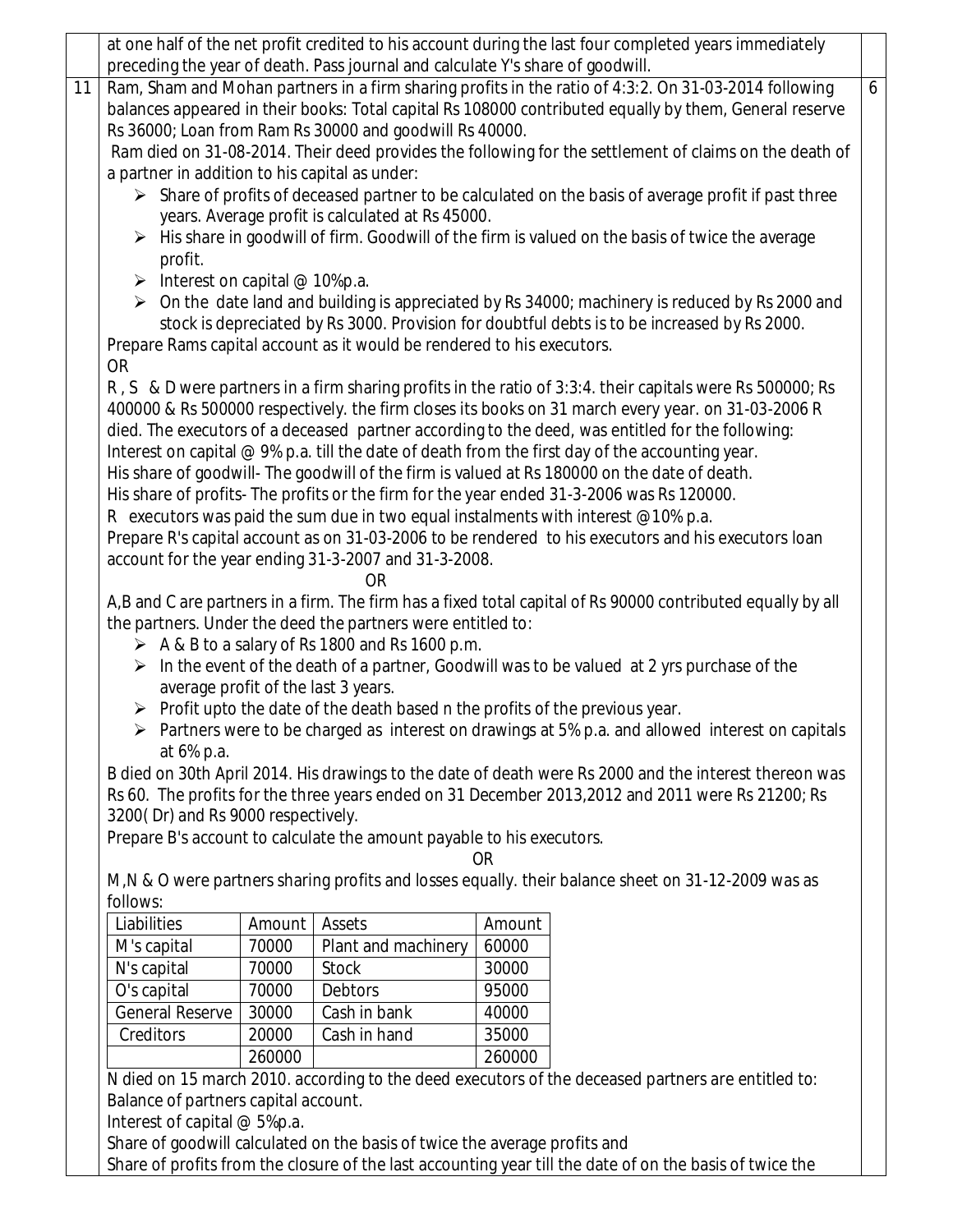|                                                                                                                                                                        |                                                                                                        |                                                                | at one half of the net profit credited to his account during the last four completed years immediately           |  |  |  |  |  |
|------------------------------------------------------------------------------------------------------------------------------------------------------------------------|--------------------------------------------------------------------------------------------------------|----------------------------------------------------------------|------------------------------------------------------------------------------------------------------------------|--|--|--|--|--|
|                                                                                                                                                                        |                                                                                                        |                                                                | preceding the year of death. Pass journal and calculate Y's share of goodwill.                                   |  |  |  |  |  |
| 11                                                                                                                                                                     |                                                                                                        |                                                                | Ram, Sham and Mohan partners in a firm sharing profits in the ratio of 4:3:2. On 31-03-2014 following            |  |  |  |  |  |
| balances appeared in their books: Total capital Rs 108000 contributed equally by them, General reserve                                                                 |                                                                                                        |                                                                |                                                                                                                  |  |  |  |  |  |
|                                                                                                                                                                        | Rs 36000; Loan from Ram Rs 30000 and goodwill Rs 40000.                                                |                                                                |                                                                                                                  |  |  |  |  |  |
|                                                                                                                                                                        | Ram died on 31-08-2014. Their deed provides the following for the settlement of claims on the death of |                                                                |                                                                                                                  |  |  |  |  |  |
|                                                                                                                                                                        | a partner in addition to his capital as under:                                                         |                                                                |                                                                                                                  |  |  |  |  |  |
|                                                                                                                                                                        | > Share of profits of deceased partner to be calculated on the basis of average profit if past three   |                                                                |                                                                                                                  |  |  |  |  |  |
| years. Average profit is calculated at Rs 45000.                                                                                                                       |                                                                                                        |                                                                |                                                                                                                  |  |  |  |  |  |
| $\triangleright$ His share in goodwill of firm. Goodwill of the firm is valued on the basis of twice the average                                                       |                                                                                                        |                                                                |                                                                                                                  |  |  |  |  |  |
| profit.                                                                                                                                                                |                                                                                                        |                                                                |                                                                                                                  |  |  |  |  |  |
| $\triangleright$ Interest on capital @ 10%p.a.                                                                                                                         |                                                                                                        |                                                                |                                                                                                                  |  |  |  |  |  |
| $\triangleright$ On the date land and building is appreciated by Rs 34000; machinery is reduced by Rs 2000 and                                                         |                                                                                                        |                                                                |                                                                                                                  |  |  |  |  |  |
| stock is depreciated by Rs 3000. Provision for doubtful debts is to be increased by Rs 2000.<br>Prepare Rams capital account as it would be rendered to his executors. |                                                                                                        |                                                                |                                                                                                                  |  |  |  |  |  |
| <b>OR</b>                                                                                                                                                              |                                                                                                        |                                                                |                                                                                                                  |  |  |  |  |  |
| R, S & D were partners in a firm sharing profits in the ratio of 3:3:4. their capitals were Rs 500000; Rs                                                              |                                                                                                        |                                                                |                                                                                                                  |  |  |  |  |  |
| 400000 & Rs 500000 respectively. the firm closes its books on 31 march every year. on 31-03-2006 R                                                                     |                                                                                                        |                                                                |                                                                                                                  |  |  |  |  |  |
| died. The executors of a deceased partner according to the deed, was entitled for the following:                                                                       |                                                                                                        |                                                                |                                                                                                                  |  |  |  |  |  |
| Interest on capital $@9\%$ p.a. till the date of death from the first day of the accounting year.                                                                      |                                                                                                        |                                                                |                                                                                                                  |  |  |  |  |  |
| His share of goodwill- The goodwill of the firm is valued at Rs 180000 on the date of death.                                                                           |                                                                                                        |                                                                |                                                                                                                  |  |  |  |  |  |
|                                                                                                                                                                        |                                                                                                        |                                                                | His share of profits- The profits or the firm for the year ended 31-3-2006 was Rs 120000.                        |  |  |  |  |  |
|                                                                                                                                                                        |                                                                                                        |                                                                | R executors was paid the sum due in two equal instalments with interest $@10%$ p.a.                              |  |  |  |  |  |
|                                                                                                                                                                        |                                                                                                        |                                                                | Prepare R's capital account as on 31-03-2006 to be rendered to his executors and his executors loan              |  |  |  |  |  |
| account for the year ending 31-3-2007 and 31-3-2008.                                                                                                                   |                                                                                                        |                                                                |                                                                                                                  |  |  |  |  |  |
|                                                                                                                                                                        |                                                                                                        | <b>OR</b>                                                      |                                                                                                                  |  |  |  |  |  |
|                                                                                                                                                                        |                                                                                                        |                                                                | A,B and C are partners in a firm. The firm has a fixed total capital of Rs 90000 contributed equally by all      |  |  |  |  |  |
|                                                                                                                                                                        |                                                                                                        | the partners. Under the deed the partners were entitled to:    |                                                                                                                  |  |  |  |  |  |
|                                                                                                                                                                        |                                                                                                        | $\triangleright$ A & B to a salary of Rs 1800 and Rs 1600 p.m. |                                                                                                                  |  |  |  |  |  |
|                                                                                                                                                                        |                                                                                                        |                                                                | $\triangleright$ In the event of the death of a partner, Goodwill was to be valued at 2 yrs purchase of the      |  |  |  |  |  |
|                                                                                                                                                                        |                                                                                                        | average profit of the last 3 years.                            |                                                                                                                  |  |  |  |  |  |
|                                                                                                                                                                        |                                                                                                        |                                                                | $\triangleright$ Profit upto the date of the death based n the profits of the previous year.                     |  |  |  |  |  |
|                                                                                                                                                                        |                                                                                                        |                                                                | $\triangleright$ Partners were to be charged as interest on drawings at 5% p.a. and allowed interest on capitals |  |  |  |  |  |
| at 6% p.a.                                                                                                                                                             |                                                                                                        |                                                                | B died on 30th April 2014. His drawings to the date of death were Rs 2000 and the interest thereon was           |  |  |  |  |  |
|                                                                                                                                                                        |                                                                                                        |                                                                |                                                                                                                  |  |  |  |  |  |
| Rs 60. The profits for the three years ended on 31 December 2013, 2012 and 2011 were Rs 21200; Rs<br>3200(Dr) and Rs 9000 respectively.                                |                                                                                                        |                                                                |                                                                                                                  |  |  |  |  |  |
| Prepare B's account to calculate the amount payable to his executors.                                                                                                  |                                                                                                        |                                                                |                                                                                                                  |  |  |  |  |  |
|                                                                                                                                                                        |                                                                                                        |                                                                | <b>OR</b>                                                                                                        |  |  |  |  |  |
|                                                                                                                                                                        |                                                                                                        |                                                                | M, N & O were partners sharing profits and losses equally. their balance sheet on 31-12-2009 was as              |  |  |  |  |  |
| follows:                                                                                                                                                               |                                                                                                        |                                                                |                                                                                                                  |  |  |  |  |  |
| Liabilities                                                                                                                                                            | Amount                                                                                                 | Assets                                                         | Amount                                                                                                           |  |  |  |  |  |
| M's capital                                                                                                                                                            | 70000                                                                                                  | Plant and machinery                                            | 60000                                                                                                            |  |  |  |  |  |
| N's capital                                                                                                                                                            | 70000                                                                                                  | <b>Stock</b>                                                   | 30000                                                                                                            |  |  |  |  |  |
| O's capital                                                                                                                                                            | 70000                                                                                                  | <b>Debtors</b>                                                 | 95000                                                                                                            |  |  |  |  |  |
| <b>General Reserve</b>                                                                                                                                                 | 30000                                                                                                  | Cash in bank                                                   | 40000                                                                                                            |  |  |  |  |  |
| Creditors                                                                                                                                                              | 20000                                                                                                  | Cash in hand                                                   | 35000                                                                                                            |  |  |  |  |  |
|                                                                                                                                                                        | 260000                                                                                                 |                                                                | 260000                                                                                                           |  |  |  |  |  |
|                                                                                                                                                                        |                                                                                                        |                                                                | N died on 15 march 2010. according to the deed executors of the deceased partners are entitled to:               |  |  |  |  |  |
| Balance of partners capital account.                                                                                                                                   |                                                                                                        |                                                                |                                                                                                                  |  |  |  |  |  |

Interest of capital @ 5%p.a.

Share of goodwill calculated on the basis of twice the average profits and

Share of profits from the closure of the last accounting year till the date of on the basis of twice the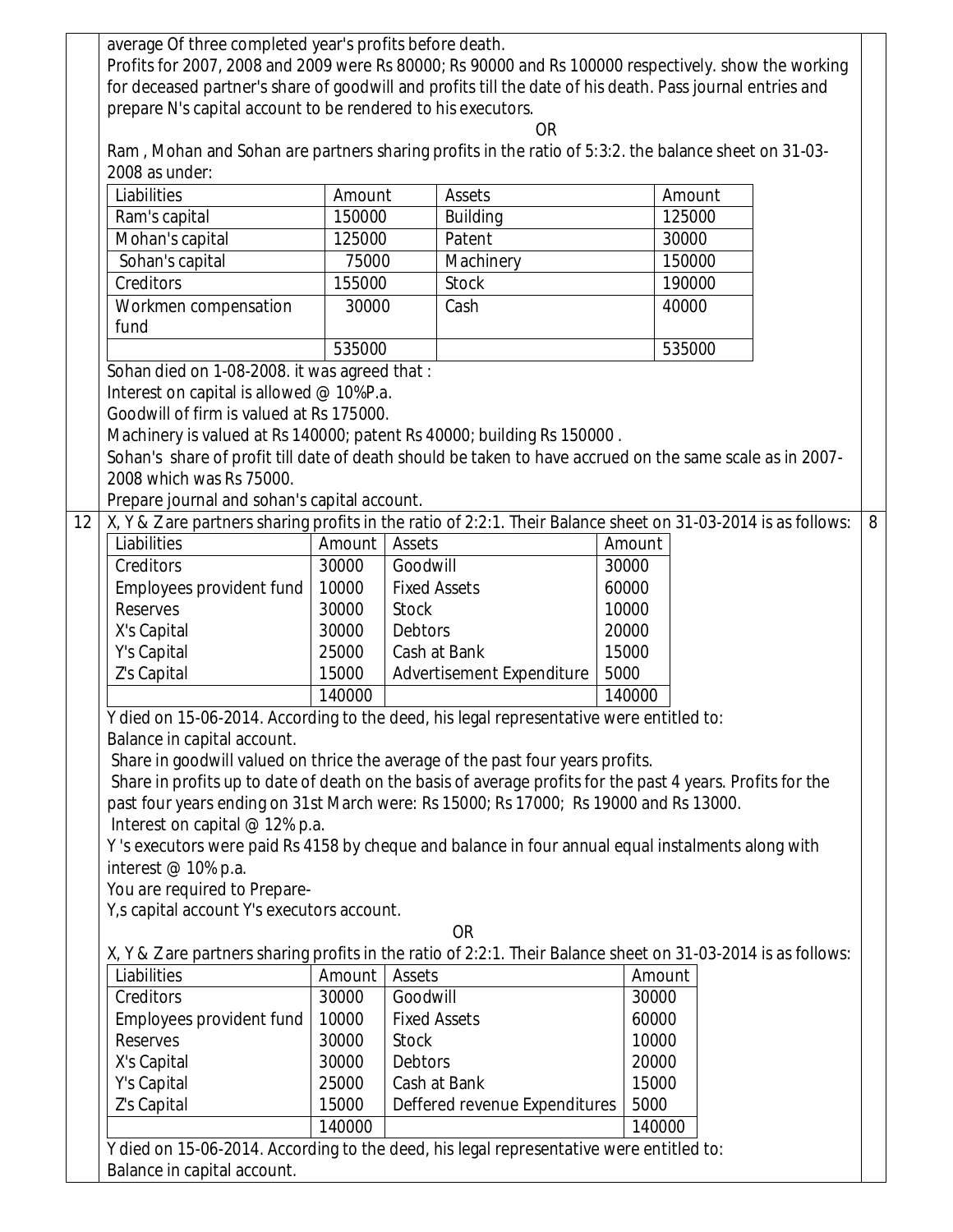|    | average Of three completed year's profits before death.                                                           |        |                               |      |        |        |   |
|----|-------------------------------------------------------------------------------------------------------------------|--------|-------------------------------|------|--------|--------|---|
|    | Profits for 2007, 2008 and 2009 were Rs 80000; Rs 90000 and Rs 100000 respectively. show the working              |        |                               |      |        |        |   |
|    | for deceased partner's share of goodwill and profits till the date of his death. Pass journal entries and         |        |                               |      |        |        |   |
|    | prepare N's capital account to be rendered to his executors.                                                      |        |                               |      |        |        |   |
|    | <b>OR</b><br>Ram, Mohan and Sohan are partners sharing profits in the ratio of 5:3:2. the balance sheet on 31-03- |        |                               |      |        |        |   |
|    | 2008 as under:                                                                                                    |        |                               |      |        |        |   |
|    | Liabilities                                                                                                       | Amount | <b>Assets</b>                 |      | Amount |        |   |
|    | Ram's capital                                                                                                     | 150000 | <b>Building</b>               |      | 125000 |        |   |
|    | Mohan's capital                                                                                                   | 125000 | Patent                        |      |        | 30000  |   |
|    | Sohan's capital                                                                                                   | 75000  | Machinery                     |      |        | 150000 |   |
|    | Creditors                                                                                                         | 155000 | <b>Stock</b>                  |      |        | 190000 |   |
|    |                                                                                                                   | 30000  |                               |      |        | 40000  |   |
|    | Workmen compensation<br>fund                                                                                      |        |                               | Cash |        |        |   |
|    |                                                                                                                   | 535000 |                               |      | 535000 |        |   |
|    | Sohan died on 1-08-2008. it was agreed that:                                                                      |        |                               |      |        |        |   |
|    | Interest on capital is allowed @ 10%P.a.                                                                          |        |                               |      |        |        |   |
|    | Goodwill of firm is valued at Rs 175000.                                                                          |        |                               |      |        |        |   |
|    | Machinery is valued at Rs 140000; patent Rs 40000; building Rs 150000.                                            |        |                               |      |        |        |   |
|    | Sohan's share of profit till date of death should be taken to have accrued on the same scale as in 2007-          |        |                               |      |        |        |   |
|    | 2008 which was Rs 75000.                                                                                          |        |                               |      |        |        |   |
|    | Prepare journal and sohan's capital account.                                                                      |        |                               |      |        |        |   |
| 12 | X, Y & Z are partners sharing profits in the ratio of 2:2:1. Their Balance sheet on 31-03-2014 is as follows:     |        |                               |      |        |        | 8 |
|    | Liabilities                                                                                                       | Amount | Assets                        |      | Amount |        |   |
|    | Creditors                                                                                                         | 30000  | Goodwill                      |      | 30000  |        |   |
|    | Employees provident fund                                                                                          | 10000  | <b>Fixed Assets</b>           |      | 60000  |        |   |
|    | <b>Reserves</b>                                                                                                   | 30000  | <b>Stock</b>                  |      | 10000  |        |   |
|    | X's Capital                                                                                                       | 30000  | <b>Debtors</b>                |      | 20000  |        |   |
|    | Y's Capital                                                                                                       | 25000  | Cash at Bank                  |      | 15000  |        |   |
|    | Z's Capital                                                                                                       | 15000  | Advertisement Expenditure     |      | 5000   |        |   |
|    |                                                                                                                   | 140000 | 140000                        |      |        |        |   |
|    | Y died on 15-06-2014. According to the deed, his legal representative were entitled to:                           |        |                               |      |        |        |   |
|    | Balance in capital account.                                                                                       |        |                               |      |        |        |   |
|    | Share in goodwill valued on thrice the average of the past four years profits.                                    |        |                               |      |        |        |   |
|    | Share in profits up to date of death on the basis of average profits for the past 4 years. Profits for the        |        |                               |      |        |        |   |
|    | past four years ending on 31st March were: Rs 15000; Rs 17000; Rs 19000 and Rs 13000.                             |        |                               |      |        |        |   |
|    | Interest on capital @ 12% p.a.                                                                                    |        |                               |      |        |        |   |
|    | Y's executors were paid Rs 4158 by cheque and balance in four annual equal instalments along with                 |        |                               |      |        |        |   |
|    | interest @ 10% p.a.                                                                                               |        |                               |      |        |        |   |
|    | You are required to Prepare-                                                                                      |        |                               |      |        |        |   |
|    | Y, s capital account Y's executors account.                                                                       |        |                               |      |        |        |   |
|    |                                                                                                                   |        | <b>OR</b>                     |      |        |        |   |
|    | X, Y & Z are partners sharing profits in the ratio of 2:2:1. Their Balance sheet on 31-03-2014 is as follows:     |        |                               |      |        |        |   |
|    | Liabilities                                                                                                       | Amount | Assets                        |      | Amount |        |   |
|    | Creditors                                                                                                         | 30000  | Goodwill                      |      | 30000  |        |   |
|    | Employees provident fund                                                                                          | 10000  | <b>Fixed Assets</b>           |      | 60000  |        |   |
|    | <b>Reserves</b>                                                                                                   | 30000  | <b>Stock</b>                  |      | 10000  |        |   |
|    | X's Capital                                                                                                       | 30000  | Debtors                       |      | 20000  |        |   |
|    | Y's Capital                                                                                                       | 25000  | Cash at Bank                  |      | 15000  |        |   |
|    | Z's Capital                                                                                                       | 15000  | Deffered revenue Expenditures |      | 5000   |        |   |
|    | 140000<br>140000                                                                                                  |        |                               |      |        |        |   |
|    | Y died on 15-06-2014. According to the deed, his legal representative were entitled to:                           |        |                               |      |        |        |   |
|    | Balance in capital account.                                                                                       |        |                               |      |        |        |   |